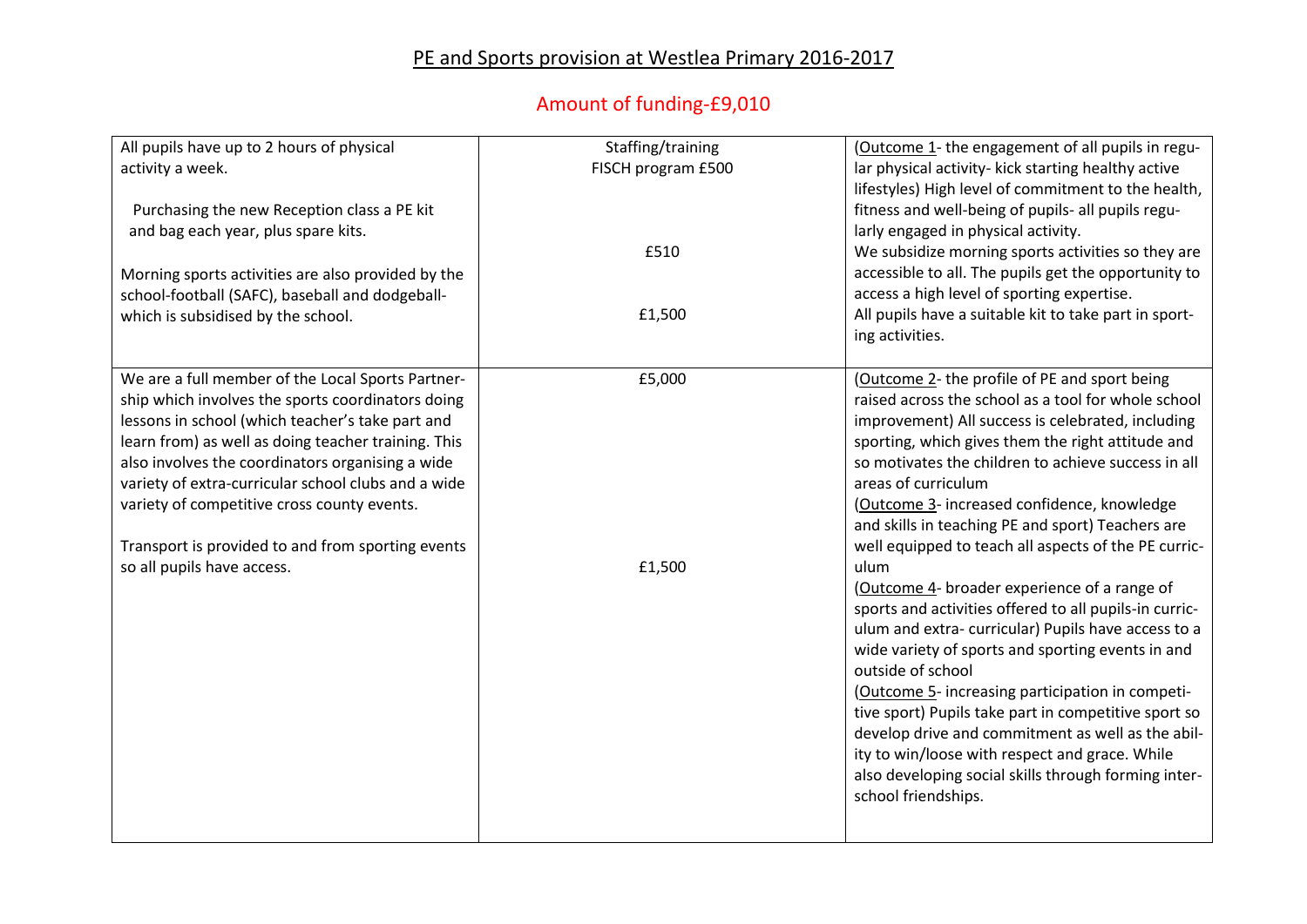## PE and Sports provision at Westlea Primary 2016-2017

## Amount of funding-£9,010

| All pupils have up to 2 hours of physical<br>activity a week.<br>Purchasing the new Reception class a PE kit<br>and bag each year, plus spare kits.<br>Morning sports activities are also provided by the<br>school-football (SAFC), baseball and dodgeball-<br>which is subsidised by the school.                                                                                                                               | Staffing/training<br>FISCH program £500<br>£510<br>£1,500 | (Outcome 1- the engagement of all pupils in regu-<br>lar physical activity- kick starting healthy active<br>lifestyles) High level of commitment to the health,<br>fitness and well-being of pupils- all pupils regu-<br>larly engaged in physical activity.<br>We subsidize morning sports activities so they are<br>accessible to all. The pupils get the opportunity to<br>access a high level of sporting expertise.<br>All pupils have a suitable kit to take part in sport-<br>ing activities.                                             |
|----------------------------------------------------------------------------------------------------------------------------------------------------------------------------------------------------------------------------------------------------------------------------------------------------------------------------------------------------------------------------------------------------------------------------------|-----------------------------------------------------------|--------------------------------------------------------------------------------------------------------------------------------------------------------------------------------------------------------------------------------------------------------------------------------------------------------------------------------------------------------------------------------------------------------------------------------------------------------------------------------------------------------------------------------------------------|
| We are a full member of the Local Sports Partner-<br>ship which involves the sports coordinators doing<br>lessons in school (which teacher's take part and<br>learn from) as well as doing teacher training. This<br>also involves the coordinators organising a wide<br>variety of extra-curricular school clubs and a wide<br>variety of competitive cross county events.<br>Transport is provided to and from sporting events | £5,000                                                    | (Outcome 2- the profile of PE and sport being<br>raised across the school as a tool for whole school<br>improvement) All success is celebrated, including<br>sporting, which gives them the right attitude and<br>so motivates the children to achieve success in all<br>areas of curriculum<br>(Outcome 3- increased confidence, knowledge<br>and skills in teaching PE and sport) Teachers are<br>well equipped to teach all aspects of the PE curric-                                                                                         |
| so all pupils have access.                                                                                                                                                                                                                                                                                                                                                                                                       | £1,500                                                    | ulum<br>(Outcome 4- broader experience of a range of<br>sports and activities offered to all pupils-in curric-<br>ulum and extra-curricular) Pupils have access to a<br>wide variety of sports and sporting events in and<br>outside of school<br>(Outcome 5- increasing participation in competi-<br>tive sport) Pupils take part in competitive sport so<br>develop drive and commitment as well as the abil-<br>ity to win/loose with respect and grace. While<br>also developing social skills through forming inter-<br>school friendships. |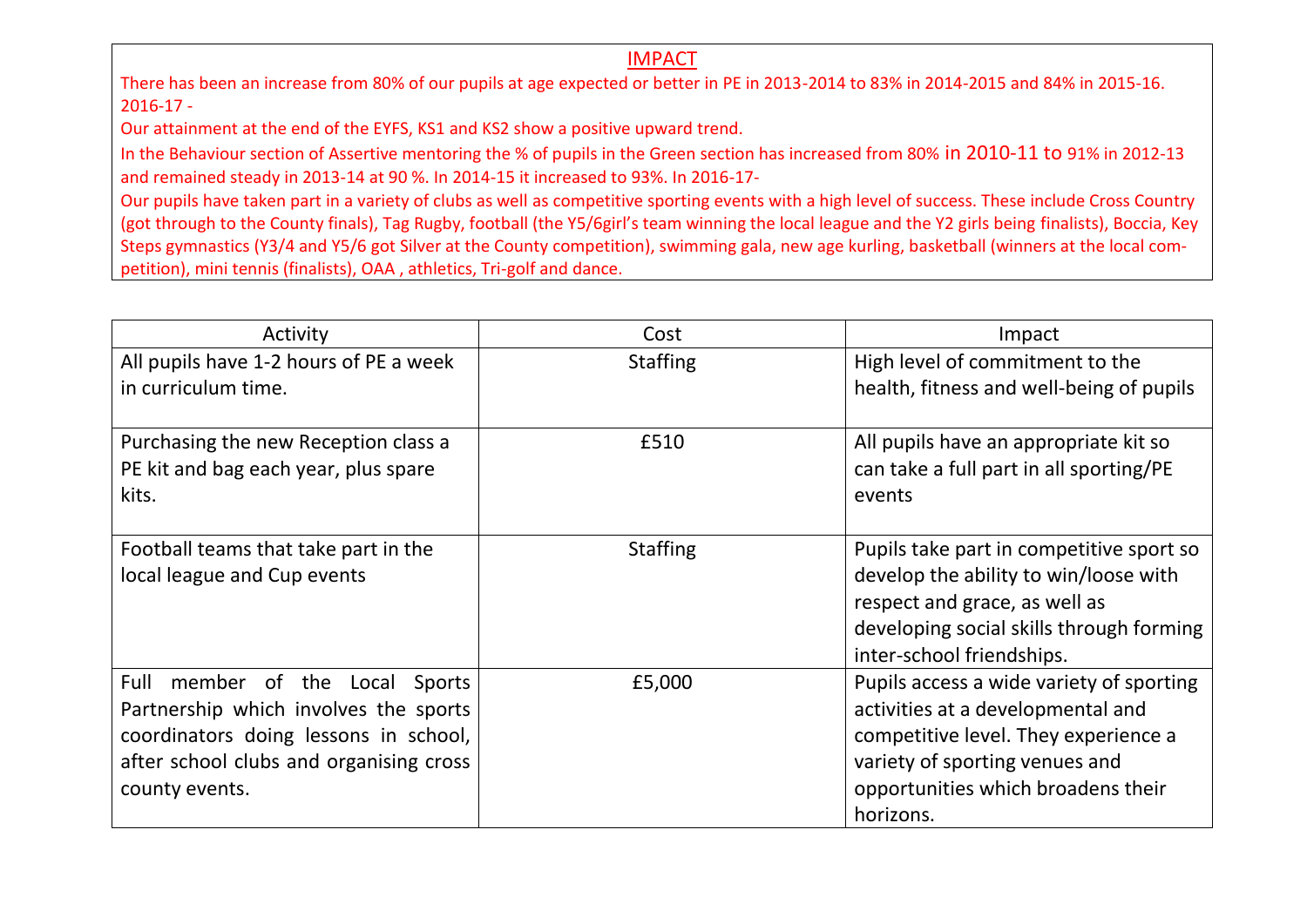## IMPACT

There has been an increase from 80% of our pupils at age expected or better in PE in 2013-2014 to 83% in 2014-2015 and 84% in 2015-16. 2016-17 -

Our attainment at the end of the EYFS, KS1 and KS2 show a positive upward trend.

In the Behaviour section of Assertive mentoring the % of pupils in the Green section has increased from 80% in 2010-11 to 91% in 2012-13 and remained steady in 2013-14 at 90 %. In 2014-15 it increased to 93%. In 2016-17-

Our pupils have taken part in a variety of clubs as well as competitive sporting events with a high level of success. These include Cross Country (got through to the County finals), Tag Rugby, football (the Y5/6girl's team winning the local league and the Y2 girls being finalists), Boccia, Key Steps gymnastics (Y3/4 and Y5/6 got Silver at the County competition), swimming gala, new age kurling, basketball (winners at the local competition), mini tennis (finalists), OAA , athletics, Tri-golf and dance.

| Activity                                | Cost            | Impact                                   |
|-----------------------------------------|-----------------|------------------------------------------|
| All pupils have 1-2 hours of PE a week  | <b>Staffing</b> | High level of commitment to the          |
| in curriculum time.                     |                 | health, fitness and well-being of pupils |
|                                         |                 |                                          |
| Purchasing the new Reception class a    | £510            | All pupils have an appropriate kit so    |
| PE kit and bag each year, plus spare    |                 | can take a full part in all sporting/PE  |
| kits.                                   |                 | events                                   |
|                                         |                 |                                          |
| Football teams that take part in the    | <b>Staffing</b> | Pupils take part in competitive sport so |
| local league and Cup events             |                 | develop the ability to win/loose with    |
|                                         |                 | respect and grace, as well as            |
|                                         |                 | developing social skills through forming |
|                                         |                 | inter-school friendships.                |
| Full<br>member of the Local Sports      | £5,000          | Pupils access a wide variety of sporting |
| Partnership which involves the sports   |                 | activities at a developmental and        |
| coordinators doing lessons in school,   |                 | competitive level. They experience a     |
| after school clubs and organising cross |                 | variety of sporting venues and           |
| county events.                          |                 | opportunities which broadens their       |
|                                         |                 | horizons.                                |